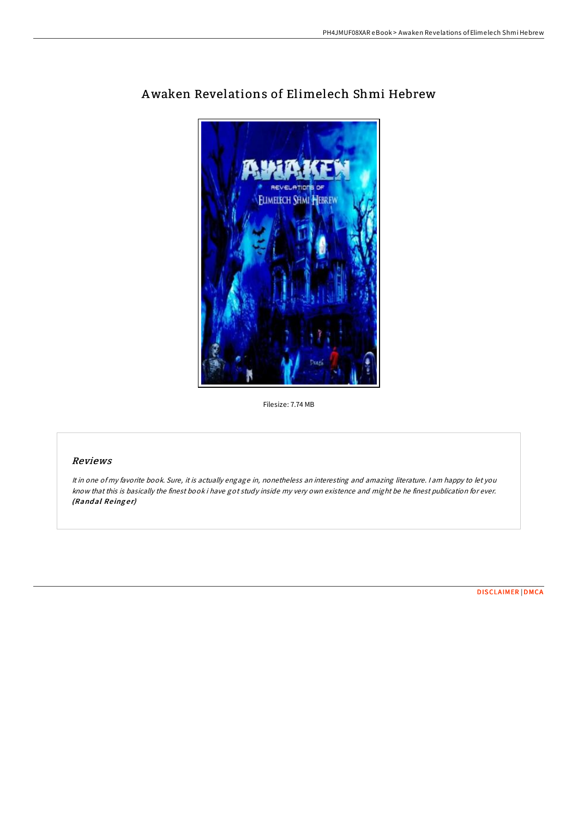

# Awaken Revelations of Elimelech Shmi Hebrew

Filesize: 7.74 MB

## Reviews

It in one of my favorite book. Sure, it is actually engage in, nonetheless an interesting and amazing literature. <sup>I</sup> am happy to let you know that this is basically the finest book i have got study inside my very own existence and might be he finest publication for ever. (Randal Reinger)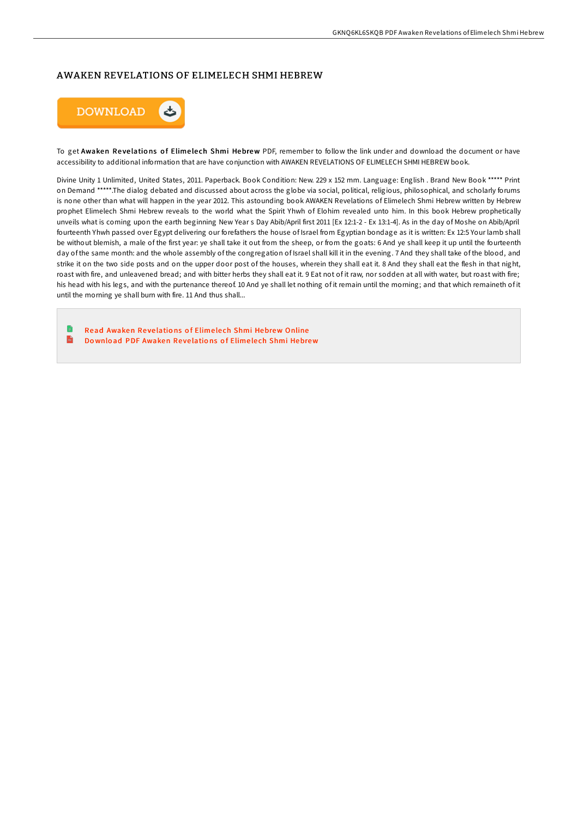### AWAKEN REVELATIONS OF ELIMELECH SHMI HEBREW



To get Awaken Revelations of Elimelech Shmi Hebrew PDF, remember to follow the link under and download the document or have accessibility to additional information that are have conjunction with AWAKEN REVELATIONS OF ELIMELECH SHMI HEBREW book.

Divine Unity 1 Unlimited, United States, 2011. Paperback. Book Condition: New. 229 x 152 mm. Language: English . Brand New Book \*\*\*\*\* Print on Demand \*\*\*\*\*.The dialog debated and discussed about across the globe via social, political, religious, philosophical, and scholarly forums is none other than what will happen in the year 2012. This astounding book AWAKEN Revelations of Elimelech Shmi Hebrew written by Hebrew prophet Elimelech Shmi Hebrew reveals to the world what the Spirit Yhwh of Elohim revealed unto him. In this book Hebrew prophetically unveils what is coming upon the earth beginning New Year s Day Abib/April first 2011 [Ex 12:1-2 - Ex 13:1-4]. As in the day of Moshe on Abib/April fourteenth Yhwh passed over Egypt delivering our forefathers the house of Israel from Egyptian bondage as it is written: Ex 12:5 Your lamb shall be without blemish, a male of the first year: ye shall take it out from the sheep, or from the goats: 6 And ye shall keep it up until the fourteenth day of the same month: and the whole assembly of the congregation of Israel shall kill it in the evening. 7 And they shall take of the blood, and strike it on the two side posts and on the upper door post of the houses, wherein they shall eat it. 8 And they shall eat the flesh in that night, roast with fire, and unleavened bread; and with bitter herbs they shall eat it. 9 Eat not of it raw, nor sodden at all with water, but roast with fire; his head with his legs, and with the purtenance thereof. 10 And ye shall let nothing of it remain until the morning; and that which remaineth of it until the morning ye shall burn with fire. 11 And thus shall...

Read [Awaken](http://almighty24.tech/awaken-revelations-of-elimelech-shmi-hebrew-pape.html) Revelations of Elimelech Shmi Hebrew Online  $\mathbf{m}$ Do wnload PDF [Awaken](http://almighty24.tech/awaken-revelations-of-elimelech-shmi-hebrew-pape.html) Revelations of Elimelech Shmi Hebrew